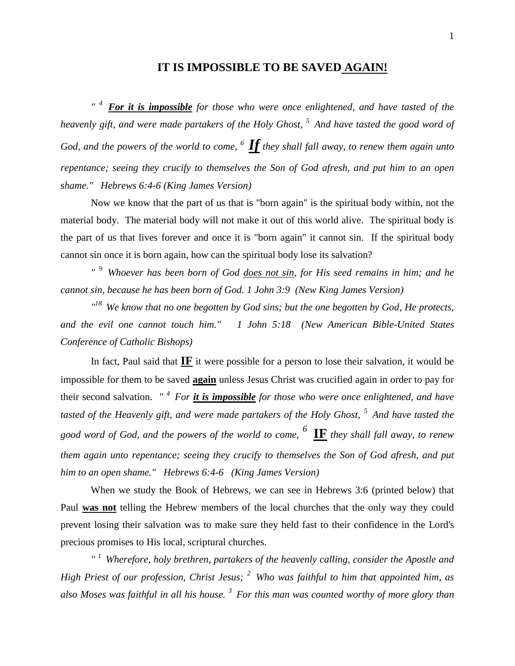### **IT IS IMPOSSIBLE TO BE SAVED AGAIN!**

*" <sup>4</sup>For it is impossible for those who were once enlightened, and have tasted of the heavenly gift, and were made partakers of the Holy Ghost, <sup>5</sup>And have tasted the good word of God, and the powers of the world to come, <sup>6</sup>If they shall fall away, to renew them again unto repentance; seeing they crucify to themselves the Son of God afresh, and put him to an open shame." Hebrews 6:4-6 (King James Version)* 

Now we know that the part of us that is "born again" is the spiritual body within, not the material body. The material body will not make it out of this world alive. The spiritual body is the part of us that lives forever and once it is "born again" it cannot sin. If the spiritual body cannot sin once it is born again, how can the spiritual body lose its salvation?

*" <sup>9</sup>Whoever has been born of God does not sin, for His seed remains in him; and he cannot sin, because he has been born of God. 1 John 3:9 (New King James Version)* 

*" <sup>18</sup>We know that no one begotten by God sins; but the one begotten by God, He protects, and the evil one cannot touch him." 1 John 5:18 (New American Bible-United States Conference of Catholic Bishops)* 

In fact, Paul said that **IF** it were possible for a person to lose their salvation, it would be impossible for them to be saved **again** unless Jesus Christ was crucified again in order to pay for their second salvation. *" <sup>4</sup>For it is impossible for those who were once enlightened, and have tasted of the Heavenly gift, and were made partakers of the Holy Ghost, <sup>5</sup>And have tasted the good word of God, and the powers of the world to come, <sup>6</sup>***IF** *they shall fall away, to renew them again unto repentance; seeing they crucify to themselves the Son of God afresh, and put him to an open shame." Hebrews 6:4-6 (King James Version)* 

When we study the Book of Hebrews, we can see in Hebrews 3:6 (printed below) that Paul **was not** telling the Hebrew members of the local churches that the only way they could prevent losing their salvation was to make sure they held fast to their confidence in the Lord's precious promises to His local, scriptural churches.

*" <sup>1</sup>Wherefore, holy brethren, partakers of the heavenly calling, consider the Apostle and High Priest of our profession, Christ Jesus; <sup>2</sup>Who was faithful to him that appointed him, as also Moses was faithful in all his house. <sup>3</sup>For this man was counted worthy of more glory than*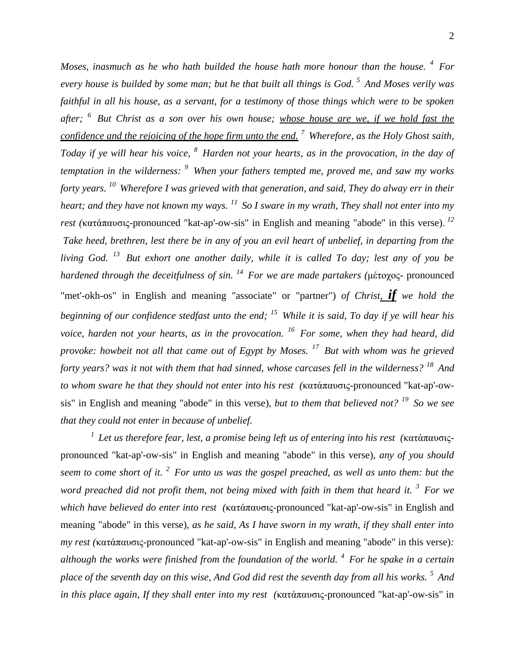*Moses, inasmuch as he who hath builded the house hath more honour than the house. <sup>4</sup>For every house is builded by some man; but he that built all things is God. <sup>5</sup>And Moses verily was faithful in all his house, as a servant, for a testimony of those things which were to be spoken after; <sup>6</sup>But Christ as a son over his own house; whose house are we, if we hold fast the confidence and the rejoicing of the hope firm unto the end. <sup>7</sup>Wherefore, as the Holy Ghost saith, Today if ye will hear his voice, <sup>8</sup>Harden not your hearts, as in the provocation, in the day of temptation in the wilderness: <sup>9</sup>When your fathers tempted me, proved me, and saw my works forty years. <sup>10</sup>Wherefore I was grieved with that generation, and said, They do alway err in their heart; and they have not known my ways. <sup>11</sup>So I sware in my wrath, They shall not enter into my rest (*κατάπαυσις-pronounced "kat-ap'-ow-sis" in English and meaning "abode" in this verse). *12 Take heed, brethren, lest there be in any of you an evil heart of unbelief, in departing from the living God. <sup>13</sup>But exhort one another daily, while it is called To day; lest any of you be hardened through the deceitfulness of sin. <sup>14</sup>For we are made partakers (*μέτοχος- pronounced "met'-okh-os" in English and meaning "associate" or "partner") *of Christ, if we hold the beginning of our confidence stedfast unto the end; <sup>15</sup>While it is said, To day if ye will hear his voice, harden not your hearts, as in the provocation. <sup>16</sup>For some, when they had heard, did provoke: howbeit not all that came out of Egypt by Moses. <sup>17</sup>But with whom was he grieved forty years? was it not with them that had sinned, whose carcases fell in the wilderness? <sup>18</sup>And to whom sware he that they should not enter into his rest (*κατάπαυσις-pronounced "kat-ap'-owsis" in English and meaning "abode" in this verse)*, but to them that believed not? <sup>19</sup>So we see that they could not enter in because of unbelief.* 

*<sup>1</sup>Let us therefore fear, lest, a promise being left us of entering into his rest (*κατάπαυσιςpronounced "kat-ap'-ow-sis" in English and meaning "abode" in this verse)*, any of you should seem to come short of it. <sup>2</sup>For unto us was the gospel preached, as well as unto them: but the*  word preached did not profit them, not being mixed with faith in them that heard it.<sup>3</sup> For we *which have believed do enter into rest (*κατάπαυσις-pronounced "kat-ap'-ow-sis" in English and meaning "abode" in this verse)*, as he said, As I have sworn in my wrath, if they shall enter into my rest (*κατάπαυσις-pronounced "kat-ap'-ow-sis" in English and meaning "abode" in this verse)*: although the works were finished from the foundation of the world. <sup>4</sup>For he spake in a certain place of the seventh day on this wise, And God did rest the seventh day from all his works. <sup>5</sup>And in this place again, If they shall enter into my rest (*κατάπαυσις-pronounced "kat-ap'-ow-sis" in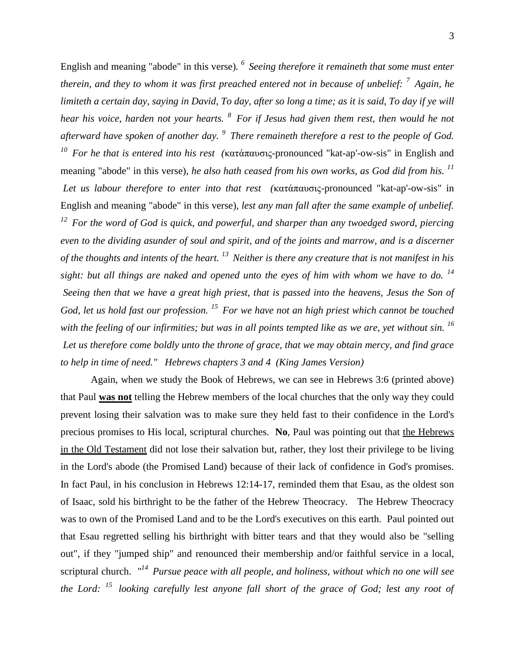English and meaning "abode" in this verse)*. <sup>6</sup>Seeing therefore it remaineth that some must enter therein, and they to whom it was first preached entered not in because of unbelief: <sup>7</sup>Again, he limiteth a certain day, saying in David, To day, after so long a time; as it is said, To day if ye will hear his voice, harden not your hearts. <sup>8</sup>For if Jesus had given them rest, then would he not afterward have spoken of another day. <sup>9</sup>There remaineth therefore a rest to the people of God. <sup>10</sup>For he that is entered into his rest (*κατάπαυσις-pronounced "kat-ap'-ow-sis" in English and meaning "abode" in this verse)*, he also hath ceased from his own works, as God did from his. <sup>11</sup> Let us labour therefore to enter into that rest (*κατάπαυσις-pronounced "kat-ap'-ow-sis" in English and meaning "abode" in this verse)*, lest any man fall after the same example of unbelief. <sup>12</sup>For the word of God is quick, and powerful, and sharper than any twoedged sword, piercing even to the dividing asunder of soul and spirit, and of the joints and marrow, and is a discerner of the thoughts and intents of the heart. <sup>13</sup>Neither is there any creature that is not manifest in his sight: but all things are naked and opened unto the eyes of him with whom we have to do. <sup>14</sup> Seeing then that we have a great high priest, that is passed into the heavens, Jesus the Son of God, let us hold fast our profession. <sup>15</sup>For we have not an high priest which cannot be touched*  with the feeling of our infirmities; but was in all points tempted like as we are, yet without sin. <sup>16</sup> *Let us therefore come boldly unto the throne of grace, that we may obtain mercy, and find grace to help in time of need." Hebrews chapters 3 and 4 (King James Version)* 

Again, when we study the Book of Hebrews, we can see in Hebrews 3:6 (printed above) that Paul **was not** telling the Hebrew members of the local churches that the only way they could prevent losing their salvation was to make sure they held fast to their confidence in the Lord's precious promises to His local, scriptural churches. **No**, Paul was pointing out that the Hebrews in the Old Testament did not lose their salvation but, rather, they lost their privilege to be living in the Lord's abode (the Promised Land) because of their lack of confidence in God's promises. In fact Paul, in his conclusion in Hebrews 12:14-17, reminded them that Esau, as the oldest son of Isaac, sold his birthright to be the father of the Hebrew Theocracy. The Hebrew Theocracy was to own of the Promised Land and to be the Lord's executives on this earth. Paul pointed out that Esau regretted selling his birthright with bitter tears and that they would also be "selling out", if they "jumped ship" and renounced their membership and/or faithful service in a local, scriptural church. *" <sup>14</sup>Pursue peace with all people, and holiness, without which no one will see the Lord: <sup>15</sup>looking carefully lest anyone fall short of the grace of God; lest any root of*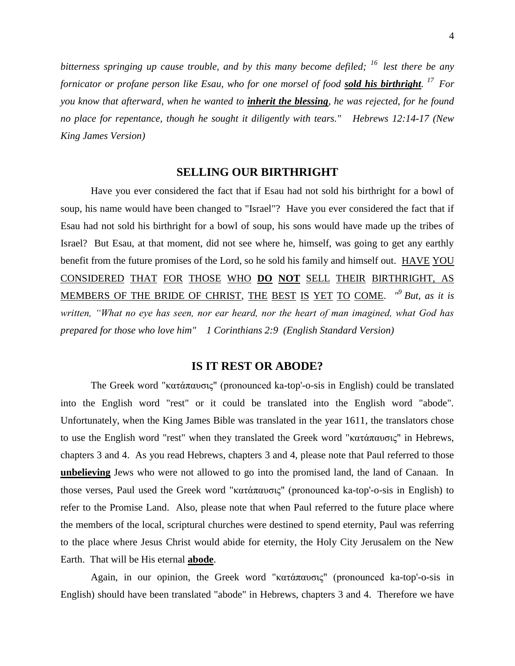*bitterness springing up cause trouble, and by this many become defiled; <sup>16</sup>lest there be any fornicator or profane person like Esau, who for one morsel of food sold his birthright. <sup>17</sup>For you know that afterward, when he wanted to inherit the blessing, he was rejected, for he found no place for repentance, though he sought it diligently with tears." Hebrews 12:14-17 (New King James Version)* 

### **SELLING OUR BIRTHRIGHT**

Have you ever considered the fact that if Esau had not sold his birthright for a bowl of soup, his name would have been changed to "Israel"? Have you ever considered the fact that if Esau had not sold his birthright for a bowl of soup, his sons would have made up the tribes of Israel? But Esau, at that moment, did not see where he, himself, was going to get any earthly benefit from the future promises of the Lord, so he sold his family and himself out. HAVE YOU CONSIDERED THAT FOR THOSE WHO **DO NOT** SELL THEIR BIRTHRIGHT, AS MEMBERS OF THE BRIDE OF CHRIST, THE BEST IS YET TO COME. "<sup>9</sup> But, as it is *written, "What no eye has seen, nor ear heard, nor the heart of man imagined, what God has prepared for those who love him" 1 Corinthians 2:9 (English Standard Version)*

## **IS IT REST OR ABODE?**

The Greek word "κατάπαυσις" (pronounced ka-top'-o-sis in English) could be translated into the English word "rest" or it could be translated into the English word "abode". Unfortunately, when the King James Bible was translated in the year 1611, the translators chose to use the English word "rest" when they translated the Greek word "κατάπαυσις" in Hebrews, chapters 3 and 4. As you read Hebrews, chapters 3 and 4, please note that Paul referred to those **unbelieving** Jews who were not allowed to go into the promised land, the land of Canaan. In those verses, Paul used the Greek word "κατάπαυσις" (pronounced ka-top'-o-sis in English) to refer to the Promise Land. Also, please note that when Paul referred to the future place where the members of the local, scriptural churches were destined to spend eternity, Paul was referring to the place where Jesus Christ would abide for eternity, the Holy City Jerusalem on the New Earth. That will be His eternal **abode**.

Again, in our opinion, the Greek word "κατάπαυσις" (pronounced ka-top'-o-sis in English) should have been translated "abode" in Hebrews, chapters 3 and 4. Therefore we have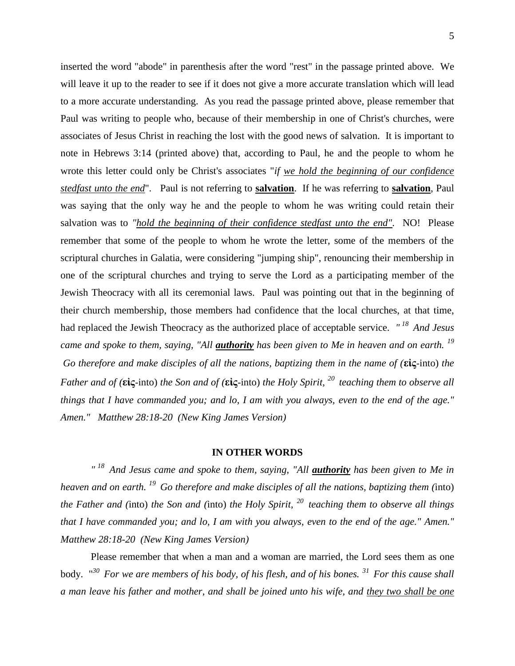inserted the word "abode" in parenthesis after the word "rest" in the passage printed above. We will leave it up to the reader to see if it does not give a more accurate translation which will lead to a more accurate understanding. As you read the passage printed above, please remember that Paul was writing to people who, because of their membership in one of Christ's churches, were associates of Jesus Christ in reaching the lost with the good news of salvation. It is important to note in Hebrews 3:14 (printed above) that, according to Paul, he and the people to whom he wrote this letter could only be Christ's associates "*if we hold the beginning of our confidence stedfast unto the end*". Paul is not referring to **salvation**. If he was referring to **salvation**, Paul was saying that the only way he and the people to whom he was writing could retain their salvation was to *"hold the beginning of their confidence stedfast unto the end".* NO! Please remember that some of the people to whom he wrote the letter, some of the members of the scriptural churches in Galatia, were considering "jumping ship", renouncing their membership in one of the scriptural churches and trying to serve the Lord as a participating member of the Jewish Theocracy with all its ceremonial laws. Paul was pointing out that in the beginning of their church membership, those members had confidence that the local churches, at that time, had replaced the Jewish Theocracy as the authorized place of acceptable service. *" <sup>18</sup>And Jesus came and spoke to them, saying, "All authority has been given to Me in heaven and on earth. <sup>19</sup> Go therefore and make disciples of all the nations, baptizing them in the name of (***εἰς**-into) *the Father and of (***εἰς**-into) *the Son and of (***εἰς**-into) *the Holy Spirit, <sup>20</sup>teaching them to observe all things that I have commanded you; and lo, I am with you always, even to the end of the age." Amen." Matthew 28:18-20 (New King James Version)* 

#### **IN OTHER WORDS**

<sup>" 18</sup> And Jesus came and spoke to them, saying, "All **<u>authority</u>** has been given to Me in *heaven and on earth. <sup>19</sup>Go therefore and make disciples of all the nations, baptizing them (*into) *the Father and (*into) *the Son and (*into) *the Holy Spirit, <sup>20</sup>teaching them to observe all things that I have commanded you; and lo, I am with you always, even to the end of the age." Amen." Matthew 28:18-20 (New King James Version)*

Please remember that when a man and a woman are married, the Lord sees them as one body. " *<sup>30</sup>For we are members of his body, of his flesh, and of his bones. <sup>31</sup>For this cause shall a man leave his father and mother, and shall be joined unto his wife, and they two shall be one*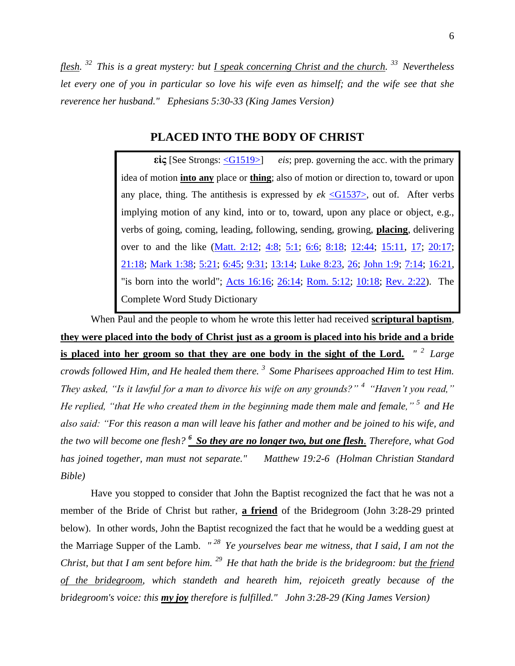6

*flesh. <sup>32</sup>This is a great mystery: but I speak concerning Christ and the church. <sup>33</sup>Nevertheless let every one of you in particular so love his wife even as himself; and the wife see that she reverence her husband." Ephesians 5:30-33 (King James Version)*

## **PLACED INTO THE BODY OF CHRIST**

**εἰς** [See Strongs: [<G1519>\]](http://www.crossbooks.com/book.asp?strongs=G1519) *eis*; prep. governing the acc. with the primary idea of motion **into any** place or **thing**; also of motion or direction to, toward or upon any place, thing. The antithesis is expressed by  $ek \leq G1537$ , out of. After verbs implying motion of any kind, into or to, toward, upon any place or object, e.g., verbs of going, coming, leading, following, sending, growing, **placing**, delivering over to and the like [\(Matt. 2:12;](http://www.crossbooks.com/verse.asp?ref=Mt+2%3A12) [4:8;](http://www.crossbooks.com/verse.asp?ref=Mt+4%3A8) [5:1;](http://www.crossbooks.com/verse.asp?ref=Mt+5%3A1) [6:6;](http://www.crossbooks.com/verse.asp?ref=Mt+6%3A6) [8:18;](http://www.crossbooks.com/verse.asp?ref=Mt+8%3A18) [12:44;](http://www.crossbooks.com/verse.asp?ref=Mt+12%3A44) [15:11,](http://www.crossbooks.com/verse.asp?ref=Mt+15%3A11) [17;](http://www.crossbooks.com/verse.asp?ref=Mt+15%3A17) [20:17;](http://www.crossbooks.com/verse.asp?ref=Mt+20%3A17) [21:18;](http://www.crossbooks.com/verse.asp?ref=Mt+21%3A18) [Mark 1:38;](http://www.crossbooks.com/verse.asp?ref=Mk+1%3A38) [5:21;](http://www.crossbooks.com/verse.asp?ref=Mk+5%3A21) [6:45;](http://www.crossbooks.com/verse.asp?ref=Mk+6%3A45) [9:31;](http://www.crossbooks.com/verse.asp?ref=Mk+9%3A31) [13:14;](http://www.crossbooks.com/verse.asp?ref=Mk+13%3A14) [Luke 8:23,](http://www.crossbooks.com/verse.asp?ref=Lk+8%3A23) [26;](http://www.crossbooks.com/verse.asp?ref=Lk+8%3A26) [John 1:9;](http://www.crossbooks.com/verse.asp?ref=Jn+1%3A9) [7:14;](http://www.crossbooks.com/verse.asp?ref=Jn+7%3A14) [16:21,](http://www.crossbooks.com/verse.asp?ref=Jn+16%3A21) "is born into the world"; [Acts 16:16;](http://www.crossbooks.com/verse.asp?ref=Ac+16%3A16) [26:14;](http://www.crossbooks.com/verse.asp?ref=Ac+26%3A14) [Rom. 5:12;](http://www.crossbooks.com/verse.asp?ref=Ro+5%3A12) [10:18;](http://www.crossbooks.com/verse.asp?ref=Ro+10%3A18) [Rev. 2:22\)](http://www.crossbooks.com/verse.asp?ref=Rev+2%3A22). The Complete Word Study Dictionary

When Paul and the people to whom he wrote this letter had received **scriptural baptism**, **they were placed into the body of Christ just as a groom is placed into his bride and a bride is placed into her groom so that they are one body in the sight of the Lord.** *" <sup>2</sup>Large crowds followed Him, and He healed them there. <sup>3</sup>Some Pharisees approached Him to test Him. They asked, "Is it lawful for a man to divorce his wife on any grounds?" <sup>4</sup>"Haven't you read," He replied, "that He who created them in the beginning made them male and female," <sup>5</sup>and He also said: "For this reason a man will leave his father and mother and be joined to his wife, and the two will become one flesh? <sup>6</sup>So they are no longer two, but one flesh. Therefore, what God has joined together, man must not separate." Matthew 19:2-6 (Holman Christian Standard Bible)*

Have you stopped to consider that John the Baptist recognized the fact that he was not a member of the Bride of Christ but rather, **a friend** of the Bridegroom (John 3:28-29 printed below). In other words, John the Baptist recognized the fact that he would be a wedding guest at the Marriage Supper of the Lamb. *" <sup>28</sup>Ye yourselves bear me witness, that I said, I am not the Christ, but that I am sent before him. <sup>29</sup>He that hath the bride is the bridegroom: but the friend of the bridegroom, which standeth and heareth him, rejoiceth greatly because of the bridegroom's voice: this my joy therefore is fulfilled." John 3:28-29 (King James Version)*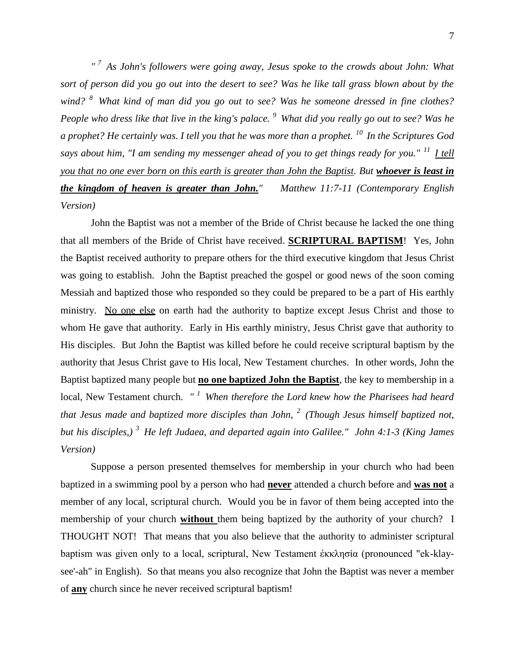*" <sup>7</sup>As John's followers were going away, Jesus spoke to the crowds about John: What sort of person did you go out into the desert to see? Was he like tall grass blown about by the wind? <sup>8</sup>What kind of man did you go out to see? Was he someone dressed in fine clothes? People who dress like that live in the king's palace. <sup>9</sup>What did you really go out to see? Was he a prophet? He certainly was. I tell you that he was more than a prophet. <sup>10</sup>In the Scriptures God says about him, "I am sending my messenger ahead of you to get things ready for you." <sup>11</sup>I tell you that no one ever born on this earth is greater than John the Baptist. But whoever is least in the kingdom of heaven is greater than John." Matthew 11:7-11 (Contemporary English Version)*

John the Baptist was not a member of the Bride of Christ because he lacked the one thing that all members of the Bride of Christ have received. **SCRIPTURAL BAPTISM**! Yes, John the Baptist received authority to prepare others for the third executive kingdom that Jesus Christ was going to establish. John the Baptist preached the gospel or good news of the soon coming Messiah and baptized those who responded so they could be prepared to be a part of His earthly ministry. No one else on earth had the authority to baptize except Jesus Christ and those to whom He gave that authority. Early in His earthly ministry, Jesus Christ gave that authority to His disciples. But John the Baptist was killed before he could receive scriptural baptism by the authority that Jesus Christ gave to His local, New Testament churches. In other words, John the Baptist baptized many people but **no one baptized John the Baptist**, the key to membership in a local, New Testament church. *" <sup>1</sup>When therefore the Lord knew how the Pharisees had heard that Jesus made and baptized more disciples than John, <sup>2</sup>(Though Jesus himself baptized not, but his disciples,) <sup>3</sup>He left Judaea, and departed again into Galilee." John 4:1-3 (King James Version)* 

Suppose a person presented themselves for membership in your church who had been baptized in a swimming pool by a person who had **never** attended a church before and **was not** a member of any local, scriptural church. Would you be in favor of them being accepted into the membership of your church **without** them being baptized by the authority of your church? I THOUGHT NOT! That means that you also believe that the authority to administer scriptural baptism was given only to a local, scriptural, New Testament ἐκκλησία (pronounced "ek-klaysee'-ah" in English). So that means you also recognize that John the Baptist was never a member of **any** church since he never received scriptural baptism!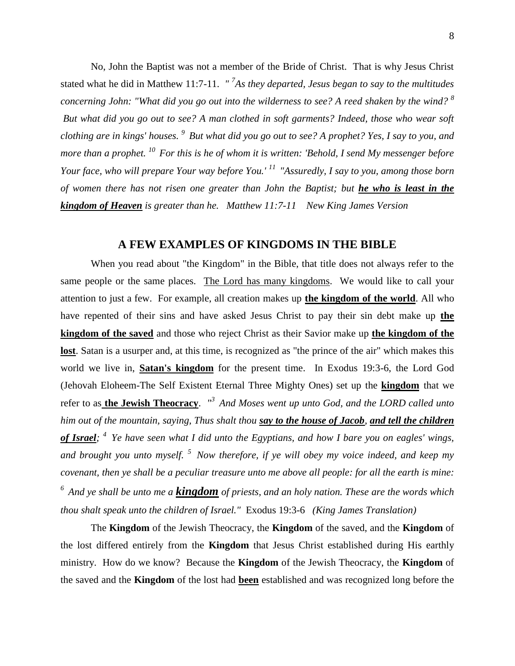No, John the Baptist was not a member of the Bride of Christ. That is why Jesus Christ stated what he did in Matthew 11:7-11. *" <sup>7</sup> As they departed, Jesus began to say to the multitudes concerning John: "What did you go out into the wilderness to see? A reed shaken by the wind? <sup>8</sup> But what did you go out to see? A man clothed in soft garments? Indeed, those who wear soft clothing are in kings' houses. <sup>9</sup>But what did you go out to see? A prophet? Yes, I say to you, and more than a prophet. <sup>10</sup>For this is he of whom it is written: 'Behold, I send My messenger before Your face, who will prepare Your way before You.' <sup>11</sup>"Assuredly, I say to you, among those born of women there has not risen one greater than John the Baptist; but he who is least in the kingdom of Heaven is greater than he. Matthew 11:7-11 New King James Version*

# **A FEW EXAMPLES OF KINGDOMS IN THE BIBLE**

When you read about "the Kingdom" in the Bible, that title does not always refer to the same people or the same places. The Lord has many kingdoms. We would like to call your attention to just a few. For example, all creation makes up **the kingdom of the world**. All who have repented of their sins and have asked Jesus Christ to pay their sin debt make up **the kingdom of the saved** and those who reject Christ as their Savior make up **the kingdom of the lost**. Satan is a usurper and, at this time, is recognized as "the prince of the air" which makes this world we live in, **Satan's kingdom** for the present time. In Exodus 19:3-6, the Lord God (Jehovah Eloheem-The Self Existent Eternal Three Mighty Ones) set up the **kingdom** that we refer to as **the Jewish Theocracy**. *" <sup>3</sup>And Moses went up unto God, and the LORD called unto him out of the mountain, saying, Thus shalt thou say to the house of Jacob, and tell the children of Israel; <sup>4</sup>Ye have seen what I did unto the Egyptians, and how I bare you on eagles' wings, and brought you unto myself. <sup>5</sup>Now therefore, if ye will obey my voice indeed, and keep my covenant, then ye shall be a peculiar treasure unto me above all people: for all the earth is mine: <sup>6</sup>And ye shall be unto me a kingdom of priests, and an holy nation. These are the words which thou shalt speak unto the children of Israel."* Exodus 19:3-6 *(King James Translation)* 

The **Kingdom** of the Jewish Theocracy, the **Kingdom** of the saved, and the **Kingdom** of the lost differed entirely from the **Kingdom** that Jesus Christ established during His earthly ministry. How do we know? Because the **Kingdom** of the Jewish Theocracy, the **Kingdom** of the saved and the **Kingdom** of the lost had **been** established and was recognized long before the